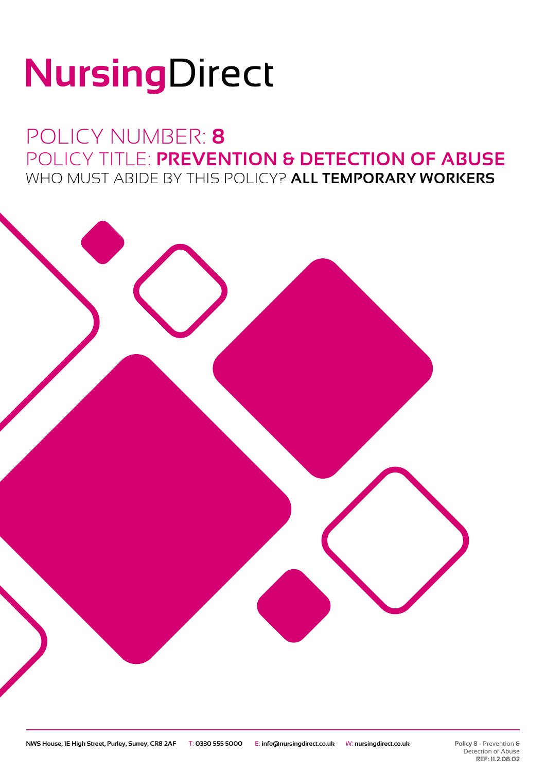# NursingDirect

### POLICY NUMBER: **8** POLICY TITLE: **PREVENTION & DETECTION OF ABUSE** WHO MUST ABIDE BY THIS POLICY? **ALL TEMPORARY WORKERS**

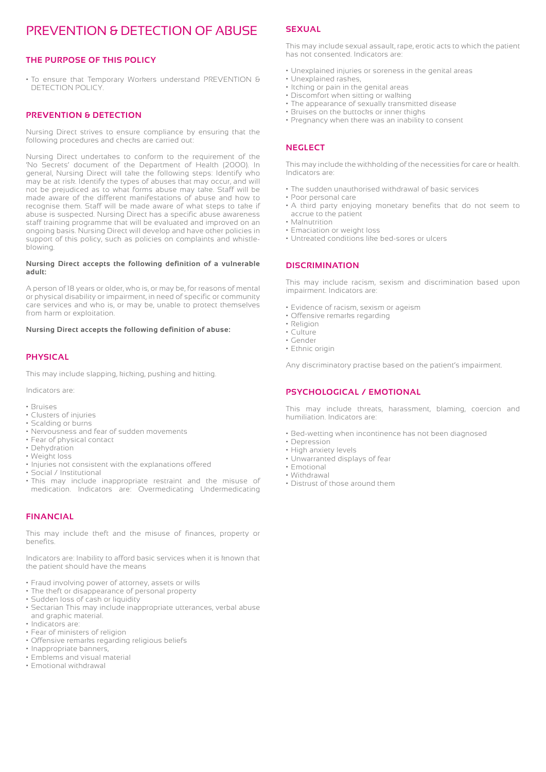#### PREVENTION & DETECTION OF ABUSE

#### **THE PURPOSE OF THIS POLICY**

• To ensure that Temporary Workers understand PREVENTION & DETECTION POLICY.

#### **PREVENTION & DETECTION**

Nursing Direct strives to ensure compliance by ensuring that the following procedures and checks are carried out:

Nursing Direct undertakes to conform to the requirement of the 'No Secrets' document of the Department of Health (2000). In general, Nursing Direct will take the following steps: Identify who may be at risk. Identify the types of abuses that may occur, and will not be prejudiced as to what forms abuse may take. Staff will be made aware of the different manifestations of abuse and how to recognise them. Staff will be made aware of what steps to take if abuse is suspected. Nursing Direct has a specific abuse awareness staff training programme that will be evaluated and improved on an ongoing basis. Nursing Direct will develop and have other policies in support of this policy, such as policies on complaints and whistleblowing.

#### **Nursing Direct accepts the following definition of a vulnerable adult:**

A person of 18 years or older, who is, or may be, for reasons of mental or physical disability or impairment, in need of specific or community care services and who is, or may be, unable to protect themselves from harm or exploitation.

#### **Nursing Direct accepts the following definition of abuse:**

#### **PHYSICAL**

This may include slapping, kicking, pushing and hitting.

Indicators are:

- Bruises
- Clusters of injuries
- Scalding or burns
- Nervousness and fear of sudden movements
- Fear of physical contact
- Dehydration
- Weight loss
- Injuries not consistent with the explanations offered
- Social / Institutional
- This may include inappropriate restraint and the misuse of medication. Indicators are: Overmedicating Undermedicating

#### **FINANCIAL**

This may include theft and the misuse of finances, property or benefits.

Indicators are: Inability to afford basic services when it is known that the patient should have the means

- Fraud involving power of attorney, assets or wills
- The theft or disappearance of personal property
- Sudden loss of cash or liquidity
- Sectarian This may include inappropriate utterances, verbal abuse and graphic material.
- Indicators are:
- Fear of ministers of religion
- Offensive remarks regarding religious beliefs
- Inappropriate banners,
- Emblems and visual material
- Emotional withdrawal

#### **SEXUAL**

This may include sexual assault, rape, erotic acts to which the patient has not consented. Indicators are:

- Unexplained injuries or soreness in the genital areas
- Unexplained rashes,
- Itching or pain in the genital areas
- Discomfort when sitting or walking
- The appearance of sexually transmitted disease
- Bruises on the buttocks or inner thighs
- Pregnancy when there was an inability to consent

#### **NEGLECT**

This may include the withholding of the necessities for care or health. Indicators are:

- The sudden unauthorised withdrawal of basic services
- Poor personal care
- A third party enjoying monetary benefits that do not seem to accrue to the patient
- Malnutrition
- Emaciation or weight loss
- Untreated conditions like bed-sores or ulcers

#### **DISCRIMINATION**

This may include racism, sexism and discrimination based upon impairment. Indicators are:

- Evidence of racism, sexism or ageism
- Offensive remarks regarding
- Religion
- Culture • Gender
- Ethnic origin

Any discriminatory practise based on the patient's impairment.

#### **PSYCHOLOGICAL / EMOTIONAL**

This may include threats, harassment, blaming, coercion and humiliation. Indicators are:

- Bed-wetting when incontinence has not been diagnosed
- Depression
- High anxiety levels • Unwarranted displays of fear
- Emotional
- Withdrawal
- Distrust of those around them